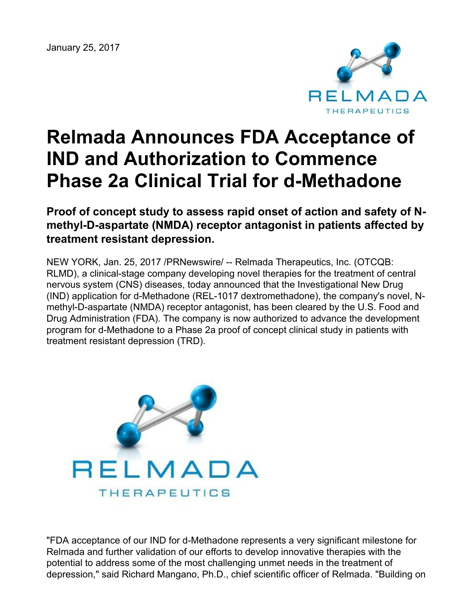January 25, 2017



# **Relmada Announces FDA Acceptance of IND and Authorization to Commence Phase 2a Clinical Trial for d-Methadone**

## **Proof of concept study to assess rapid onset of action and safety of Nmethyl-D-aspartate (NMDA) receptor antagonist in patients affected by treatment resistant depression.**

NEW YORK, Jan. 25, 2017 /PRNewswire/ -- Relmada Therapeutics, Inc. (OTCQB: RLMD), a clinical-stage company developing novel therapies for the treatment of central nervous system (CNS) diseases, today announced that the Investigational New Drug (IND) application for d-Methadone (REL-1017 dextromethadone), the company's novel, Nmethyl-D-aspartate (NMDA) receptor antagonist, has been cleared by the U.S. Food and Drug Administration (FDA). The company is now authorized to advance the development program for d-Methadone to a Phase 2a proof of concept clinical study in patients with treatment resistant depression (TRD).



"FDA acceptance of our IND for d-Methadone represents a very significant milestone for Relmada and further validation of our efforts to develop innovative therapies with the potential to address some of the most challenging unmet needs in the treatment of depression," said Richard Mangano, Ph.D., chief scientific officer of Relmada. "Building on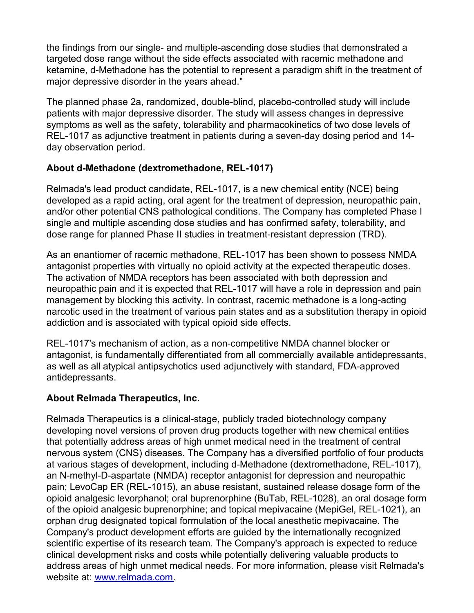the findings from our single- and multiple-ascending dose studies that demonstrated a targeted dose range without the side effects associated with racemic methadone and ketamine, d-Methadone has the potential to represent a paradigm shift in the treatment of major depressive disorder in the years ahead."

The planned phase 2a, randomized, double-blind, placebo-controlled study will include patients with major depressive disorder. The study will assess changes in depressive symptoms as well as the safety, tolerability and pharmacokinetics of two dose levels of REL-1017 as adjunctive treatment in patients during a seven-day dosing period and 14 day observation period.

### **About d-Methadone (dextromethadone, REL-1017)**

Relmada's lead product candidate, REL-1017, is a new chemical entity (NCE) being developed as a rapid acting, oral agent for the treatment of depression, neuropathic pain, and/or other potential CNS pathological conditions. The Company has completed Phase I single and multiple ascending dose studies and has confirmed safety, tolerability, and dose range for planned Phase II studies in treatment-resistant depression (TRD).

As an enantiomer of racemic methadone, REL-1017 has been shown to possess NMDA antagonist properties with virtually no opioid activity at the expected therapeutic doses. The activation of NMDA receptors has been associated with both depression and neuropathic pain and it is expected that REL-1017 will have a role in depression and pain management by blocking this activity. In contrast, racemic methadone is a long-acting narcotic used in the treatment of various pain states and as a substitution therapy in opioid addiction and is associated with typical opioid side effects.

REL-1017's mechanism of action, as a non-competitive NMDA channel blocker or antagonist, is fundamentally differentiated from all commercially available antidepressants, as well as all atypical antipsychotics used adjunctively with standard, FDA-approved antidepressants.

#### **About Relmada Therapeutics, Inc.**

Relmada Therapeutics is a clinical-stage, publicly traded biotechnology company developing novel versions of proven drug products together with new chemical entities that potentially address areas of high unmet medical need in the treatment of central nervous system (CNS) diseases. The Company has a diversified portfolio of four products at various stages of development, including d-Methadone (dextromethadone, REL-1017), an N-methyl-D-aspartate (NMDA) receptor antagonist for depression and neuropathic pain; LevoCap ER (REL-1015), an abuse resistant, sustained release dosage form of the opioid analgesic levorphanol; oral buprenorphine (BuTab, REL-1028), an oral dosage form of the opioid analgesic buprenorphine; and topical mepivacaine (MepiGel, REL-1021), an orphan drug designated topical formulation of the local anesthetic mepivacaine. The Company's product development efforts are guided by the internationally recognized scientific expertise of its research team. The Company's approach is expected to reduce clinical development risks and costs while potentially delivering valuable products to address areas of high unmet medical needs. For more information, please visit Relmada's website at: [www.relmada.com](http://www.relmada.com).